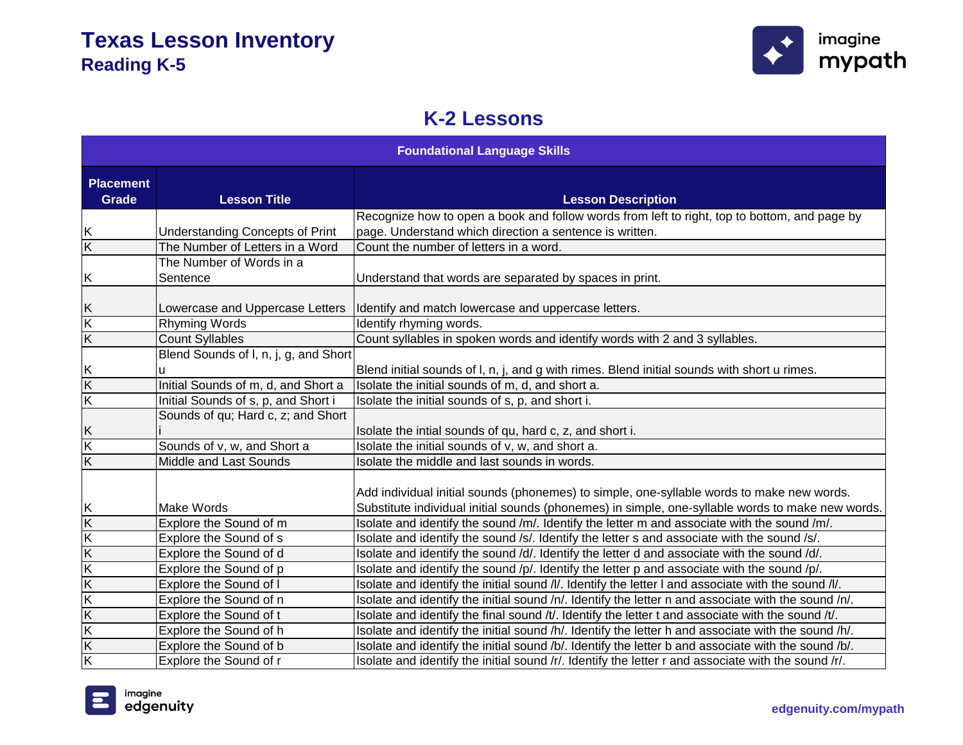

#### **K-2 Lessons**

| <b>Foundational Language Skills</b> |                                            |                                                                                                                                                                                               |
|-------------------------------------|--------------------------------------------|-----------------------------------------------------------------------------------------------------------------------------------------------------------------------------------------------|
| <b>Placement</b><br><b>Grade</b>    | <b>Lesson Title</b>                        | <b>Lesson Description</b>                                                                                                                                                                     |
|                                     |                                            | Recognize how to open a book and follow words from left to right, top to bottom, and page by                                                                                                  |
| Κ                                   | <b>Understanding Concepts of Print</b>     | page. Understand which direction a sentence is written.                                                                                                                                       |
| $\overline{\mathsf{K}}$             | The Number of Letters in a Word            | Count the number of letters in a word.                                                                                                                                                        |
|                                     | The Number of Words in a                   |                                                                                                                                                                                               |
| Κ                                   | Sentence                                   | Understand that words are separated by spaces in print.                                                                                                                                       |
| Κ                                   | Lowercase and Uppercase Letters            | Identify and match lowercase and uppercase letters.                                                                                                                                           |
| $\overline{\mathsf{K}}$             | <b>Rhyming Words</b>                       | Identify rhyming words.                                                                                                                                                                       |
| $\overline{\mathsf{K}}$             | <b>Count Syllables</b>                     | Count syllables in spoken words and identify words with 2 and 3 syllables.                                                                                                                    |
| Κ                                   | Blend Sounds of I, n, j, g, and Short<br>ū | Blend initial sounds of I, n, j, and g with rimes. Blend initial sounds with short u rimes.                                                                                                   |
| $\overline{\mathsf{K}}$             | Initial Sounds of m, d, and Short a        | Isolate the initial sounds of m, d, and short a.                                                                                                                                              |
| $\overline{\mathsf{K}}$             | Initial Sounds of s, p, and Short i        | Isolate the initial sounds of s, p, and short i.                                                                                                                                              |
|                                     | Sounds of qu; Hard c, z; and Short         |                                                                                                                                                                                               |
| Κ                                   |                                            | Isolate the intial sounds of qu, hard c, z, and short i.                                                                                                                                      |
| K                                   | Sounds of v, w, and Short a                | Isolate the initial sounds of v, w, and short a.                                                                                                                                              |
| $\overline{\mathsf{K}}$             | Middle and Last Sounds                     | Isolate the middle and last sounds in words.                                                                                                                                                  |
| Κ                                   | <b>Make Words</b>                          | Add individual initial sounds (phonemes) to simple, one-syllable words to make new words.<br>Substitute individual initial sounds (phonemes) in simple, one-syllable words to make new words. |
| Κ                                   | Explore the Sound of m                     | Isolate and identify the sound /m/. Identify the letter m and associate with the sound /m/.                                                                                                   |
| Κ                                   | Explore the Sound of s                     | Isolate and identify the sound /s/. Identify the letter s and associate with the sound /s/.                                                                                                   |
| $\overline{\mathsf{K}}$             | Explore the Sound of d                     | Isolate and identify the sound /d/. Identify the letter d and associate with the sound /d/.                                                                                                   |
| $\overline{\mathsf{K}}$             | Explore the Sound of p                     | Isolate and identify the sound /p/. Identify the letter p and associate with the sound /p/.                                                                                                   |
| $\overline{\mathsf{K}}$             | Explore the Sound of I                     | Isolate and identify the initial sound /l/. Identify the letter I and associate with the sound /l/.                                                                                           |
| K                                   | Explore the Sound of n                     | Isolate and identify the initial sound /n/. Identify the letter n and associate with the sound /n/.                                                                                           |
| $\overline{\mathsf{K}}$             | Explore the Sound of t                     | Isolate and identify the final sound /t/. Identify the letter t and associate with the sound /t/.                                                                                             |
| $\overline{\mathsf{K}}$             | Explore the Sound of h                     | Isolate and identify the initial sound /h/. Identify the letter h and associate with the sound /h/.                                                                                           |
| $\overline{\mathsf{K}}$             | Explore the Sound of b                     | Isolate and identify the initial sound /b/. Identify the letter b and associate with the sound /b/.                                                                                           |
| $\overline{\mathsf{K}}$             | Explore the Sound of r                     | Isolate and identify the initial sound /r/. Identify the letter r and associate with the sound /r/.                                                                                           |

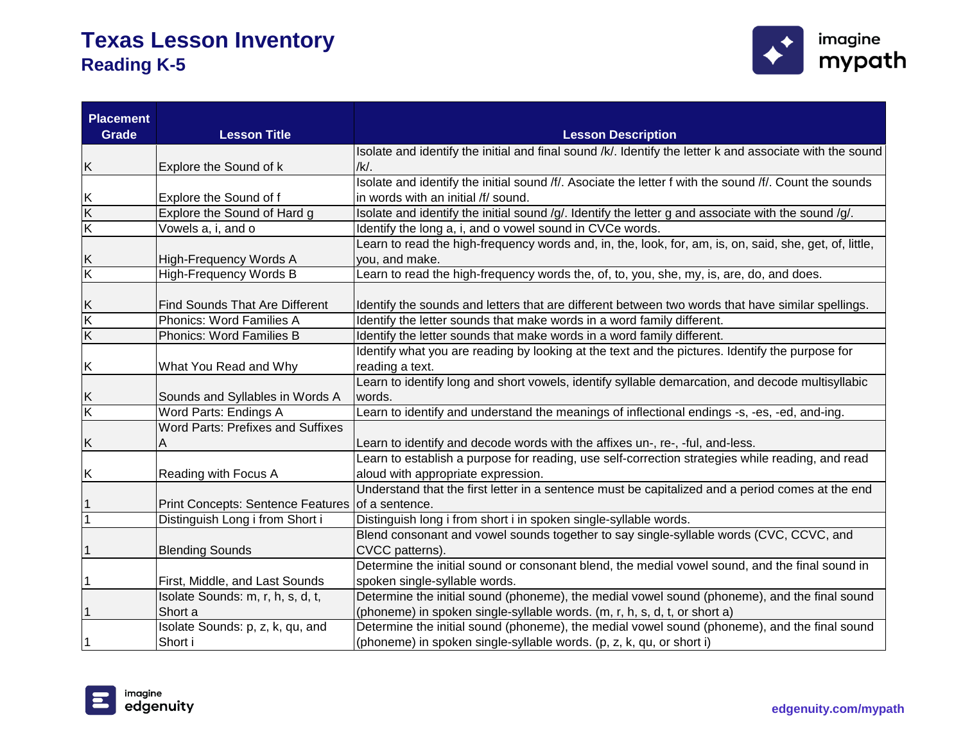

| <b>Placement</b><br>Grade    | <b>Lesson Title</b>                              | <b>Lesson Description</b>                                                                                                 |
|------------------------------|--------------------------------------------------|---------------------------------------------------------------------------------------------------------------------------|
|                              |                                                  | Isolate and identify the initial and final sound /k/. Identify the letter k and associate with the sound                  |
| K                            | Explore the Sound of k                           | /k/.                                                                                                                      |
|                              |                                                  | Isolate and identify the initial sound /f/. Asociate the letter f with the sound /f/. Count the sounds                    |
| Κ                            | Explore the Sound of f                           | in words with an initial /f/ sound.                                                                                       |
| $\overline{K}$               | Explore the Sound of Hard g                      | Isolate and identify the initial sound /g/. Identify the letter g and associate with the sound /g/.                       |
| $\overline{\mathsf{K}}$      | Vowels a, i, and o                               | Identify the long a, i, and o vowel sound in CVCe words.                                                                  |
|                              | High-Frequency Words A                           | Learn to read the high-frequency words and, in, the, look, for, am, is, on, said, she, get, of, little,<br>you, and make. |
| K<br>$\overline{\mathsf{K}}$ | <b>High-Frequency Words B</b>                    | Learn to read the high-frequency words the, of, to, you, she, my, is, are, do, and does.                                  |
|                              |                                                  |                                                                                                                           |
| Κ                            | <b>Find Sounds That Are Different</b>            | Identify the sounds and letters that are different between two words that have similar spellings.                         |
| K                            | Phonics: Word Families A                         | Identify the letter sounds that make words in a word family different.                                                    |
| $\overline{\mathsf{K}}$      | Phonics: Word Families B                         | Identify the letter sounds that make words in a word family different.                                                    |
|                              |                                                  | Identify what you are reading by looking at the text and the pictures. Identify the purpose for                           |
| Κ                            | What You Read and Why                            | reading a text.                                                                                                           |
|                              |                                                  | Learn to identify long and short vowels, identify syllable demarcation, and decode multisyllabic                          |
| Κ                            | Sounds and Syllables in Words A                  | words.                                                                                                                    |
| $\overline{\mathsf{K}}$      | Word Parts: Endings A                            | Learn to identify and understand the meanings of inflectional endings -s, -es, -ed, and-ing.                              |
|                              | <b>Word Parts: Prefixes and Suffixes</b>         |                                                                                                                           |
| Κ                            | Α                                                | Learn to identify and decode words with the affixes un-, re-, -ful, and-less.                                             |
|                              |                                                  | Learn to establish a purpose for reading, use self-correction strategies while reading, and read                          |
| Κ                            | Reading with Focus A                             | aloud with appropriate expression.                                                                                        |
|                              |                                                  | Understand that the first letter in a sentence must be capitalized and a period comes at the end                          |
| 1                            | Print Concepts: Sentence Features of a sentence. |                                                                                                                           |
| $\mathbf{1}$                 | Distinguish Long i from Short i                  | Distinguish long i from short i in spoken single-syllable words.                                                          |
|                              |                                                  | Blend consonant and vowel sounds together to say single-syllable words (CVC, CCVC, and                                    |
| 1                            | <b>Blending Sounds</b>                           | CVCC patterns).                                                                                                           |
|                              |                                                  | Determine the initial sound or consonant blend, the medial vowel sound, and the final sound in                            |
| 1                            | First, Middle, and Last Sounds                   | spoken single-syllable words.                                                                                             |
|                              | Isolate Sounds: m, r, h, s, d, t,                | Determine the initial sound (phoneme), the medial vowel sound (phoneme), and the final sound                              |
| 1                            | Short a                                          | (phoneme) in spoken single-syllable words. (m, r, h, s, d, t, or short a)                                                 |
|                              | Isolate Sounds: p, z, k, qu, and                 | Determine the initial sound (phoneme), the medial vowel sound (phoneme), and the final sound                              |
| 1                            | Short i                                          | (phoneme) in spoken single-syllable words. (p, z, k, qu, or short i)                                                      |

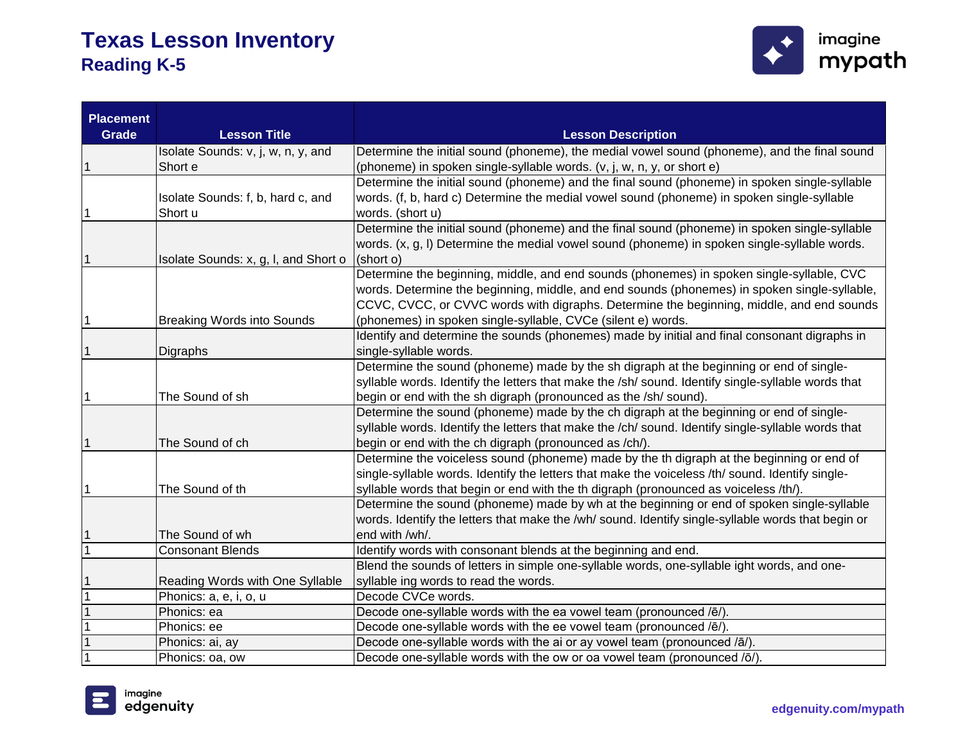

| <b>Placement</b><br><b>Grade</b> | <b>Lesson Title</b>                  | <b>Lesson Description</b>                                                                          |
|----------------------------------|--------------------------------------|----------------------------------------------------------------------------------------------------|
|                                  | Isolate Sounds: v, j, w, n, y, and   | Determine the initial sound (phoneme), the medial vowel sound (phoneme), and the final sound       |
|                                  | Short e                              | (phoneme) in spoken single-syllable words. (v, j, w, n, y, or short e)                             |
|                                  |                                      | Determine the initial sound (phoneme) and the final sound (phoneme) in spoken single-syllable      |
|                                  | Isolate Sounds: f, b, hard c, and    | words. (f, b, hard c) Determine the medial vowel sound (phoneme) in spoken single-syllable         |
|                                  | Short u                              | words. (short u)                                                                                   |
|                                  |                                      | Determine the initial sound (phoneme) and the final sound (phoneme) in spoken single-syllable      |
|                                  |                                      | words. (x, g, l) Determine the medial vowel sound (phoneme) in spoken single-syllable words.       |
|                                  | Isolate Sounds: x, g, I, and Short o | (short o)                                                                                          |
|                                  |                                      | Determine the beginning, middle, and end sounds (phonemes) in spoken single-syllable, CVC          |
|                                  |                                      | words. Determine the beginning, middle, and end sounds (phonemes) in spoken single-syllable,       |
|                                  |                                      | CCVC, CVCC, or CVVC words with digraphs. Determine the beginning, middle, and end sounds           |
| 1                                | <b>Breaking Words into Sounds</b>    | (phonemes) in spoken single-syllable, CVCe (silent e) words.                                       |
|                                  |                                      | Identify and determine the sounds (phonemes) made by initial and final consonant digraphs in       |
|                                  | Digraphs                             | single-syllable words.                                                                             |
|                                  |                                      | Determine the sound (phoneme) made by the sh digraph at the beginning or end of single-            |
|                                  |                                      | syllable words. Identify the letters that make the /sh/ sound. Identify single-syllable words that |
|                                  | The Sound of sh                      | begin or end with the sh digraph (pronounced as the /sh/ sound).                                   |
|                                  |                                      | Determine the sound (phoneme) made by the ch digraph at the beginning or end of single-            |
|                                  |                                      | syllable words. Identify the letters that make the /ch/ sound. Identify single-syllable words that |
|                                  | The Sound of ch                      | begin or end with the ch digraph (pronounced as /ch/).                                             |
|                                  |                                      | Determine the voiceless sound (phoneme) made by the th digraph at the beginning or end of          |
|                                  |                                      | single-syllable words. Identify the letters that make the voiceless /th/ sound. Identify single-   |
| 1                                | The Sound of th                      | syllable words that begin or end with the th digraph (pronounced as voiceless /th/).               |
|                                  |                                      | Determine the sound (phoneme) made by wh at the beginning or end of spoken single-syllable         |
|                                  |                                      | words. Identify the letters that make the /wh/ sound. Identify single-syllable words that begin or |
|                                  | The Sound of wh                      | end with /wh/.                                                                                     |
|                                  | <b>Consonant Blends</b>              | Identify words with consonant blends at the beginning and end.                                     |
|                                  |                                      | Blend the sounds of letters in simple one-syllable words, one-syllable ight words, and one-        |
|                                  | Reading Words with One Syllable      | syllable ing words to read the words.                                                              |
|                                  | Phonics: a, e, i, o, u               | Decode CVCe words.                                                                                 |
|                                  | Phonics: ea                          | Decode one-syllable words with the ea vowel team (pronounced /ē/).                                 |
|                                  | Phonics: ee                          | Decode one-syllable words with the ee vowel team (pronounced /ē/)                                  |
|                                  | Phonics: ai, ay                      | Decode one-syllable words with the ai or ay vowel team (pronounced /ā/).                           |
|                                  | Phonics: oa, ow                      | Decode one-syllable words with the ow or oa vowel team (pronounced /ō/).                           |

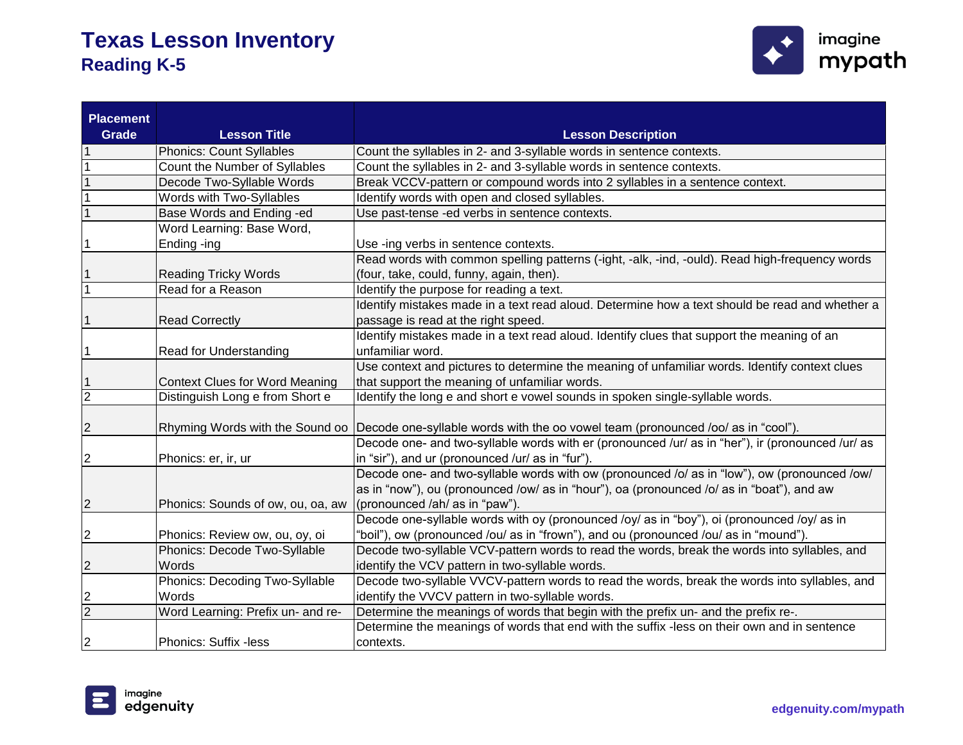

| <b>Placement</b><br>Grade | <b>Lesson Title</b>                   | <b>Lesson Description</b>                                                                                                                                                                                                   |
|---------------------------|---------------------------------------|-----------------------------------------------------------------------------------------------------------------------------------------------------------------------------------------------------------------------------|
|                           | <b>Phonics: Count Syllables</b>       | Count the syllables in 2- and 3-syllable words in sentence contexts.                                                                                                                                                        |
|                           | Count the Number of Syllables         | Count the syllables in 2- and 3-syllable words in sentence contexts.                                                                                                                                                        |
|                           | Decode Two-Syllable Words             | Break VCCV-pattern or compound words into 2 syllables in a sentence context.                                                                                                                                                |
|                           | Words with Two-Syllables              | Identify words with open and closed syllables.                                                                                                                                                                              |
|                           | Base Words and Ending -ed             | Use past-tense -ed verbs in sentence contexts.                                                                                                                                                                              |
|                           | Word Learning: Base Word,             |                                                                                                                                                                                                                             |
|                           | Ending -ing                           | Use -ing verbs in sentence contexts.                                                                                                                                                                                        |
|                           |                                       | Read words with common spelling patterns (-ight, -alk, -ind, -ould). Read high-frequency words                                                                                                                              |
|                           | <b>Reading Tricky Words</b>           | (four, take, could, funny, again, then).                                                                                                                                                                                    |
| $\overline{1}$            | Read for a Reason                     | Identify the purpose for reading a text.                                                                                                                                                                                    |
|                           |                                       | Identify mistakes made in a text read aloud. Determine how a text should be read and whether a                                                                                                                              |
|                           | <b>Read Correctly</b>                 | passage is read at the right speed.                                                                                                                                                                                         |
|                           |                                       | Identify mistakes made in a text read aloud. Identify clues that support the meaning of an                                                                                                                                  |
|                           | Read for Understanding                | unfamiliar word.                                                                                                                                                                                                            |
|                           |                                       | Use context and pictures to determine the meaning of unfamiliar words. Identify context clues                                                                                                                               |
| 1                         | <b>Context Clues for Word Meaning</b> | that support the meaning of unfamiliar words.                                                                                                                                                                               |
| $\overline{2}$            | Distinguish Long e from Short e       | Identify the long e and short e vowel sounds in spoken single-syllable words.                                                                                                                                               |
| 2                         |                                       | Rhyming Words with the Sound oo Decode one-syllable words with the oo vowel team (pronounced /oo/ as in "cool").                                                                                                            |
| 2                         | Phonics: er, ir, ur                   | Decode one- and two-syllable words with er (pronounced /ur/ as in "her"), ir (pronounced /ur/ as<br>in "sir"), and ur (pronounced /ur/ as in "fur").                                                                        |
| $\overline{c}$            | Phonics: Sounds of ow, ou, oa, aw     | Decode one- and two-syllable words with ow (pronounced /o/ as in "low"), ow (pronounced /ow/<br>as in "now"), ou (pronounced /ow/ as in "hour"), oa (pronounced /o/ as in "boat"), and aw<br>(pronounced /ah/ as in "paw"). |
|                           |                                       | Decode one-syllable words with oy (pronounced /oy/ as in "boy"), oi (pronounced /oy/ as in                                                                                                                                  |
| 2                         | Phonics: Review ow, ou, oy, oi        | "boil"), ow (pronounced /ou/ as in "frown"), and ou (pronounced /ou/ as in "mound").                                                                                                                                        |
|                           | Phonics: Decode Two-Syllable          | Decode two-syllable VCV-pattern words to read the words, break the words into syllables, and                                                                                                                                |
| 2                         | Words                                 | identify the VCV pattern in two-syllable words.                                                                                                                                                                             |
|                           | Phonics: Decoding Two-Syllable        | Decode two-syllable VVCV-pattern words to read the words, break the words into syllables, and                                                                                                                               |
| 2                         | Words                                 | identify the VVCV pattern in two-syllable words.                                                                                                                                                                            |
| $\overline{2}$            | Word Learning: Prefix un- and re-     | Determine the meanings of words that begin with the prefix un- and the prefix re-.                                                                                                                                          |
|                           |                                       | Determine the meanings of words that end with the suffix -less on their own and in sentence                                                                                                                                 |
| $\overline{c}$            | Phonics: Suffix -less                 | contexts.                                                                                                                                                                                                                   |

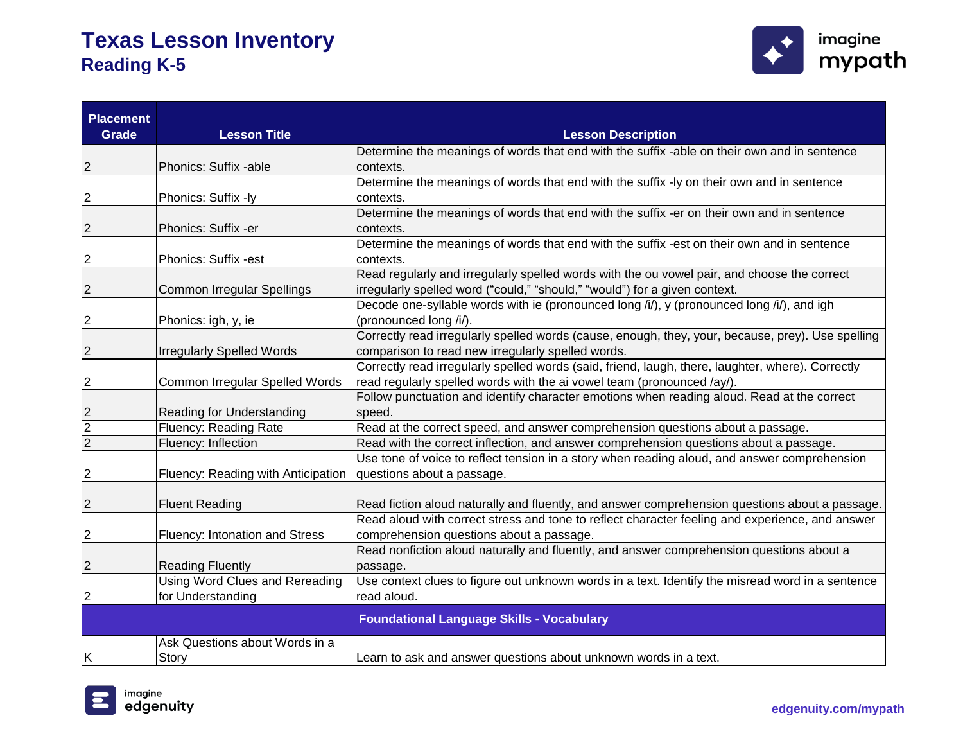

| <b>Placement</b><br><b>Grade</b> | <b>Lesson Title</b>                   | <b>Lesson Description</b>                                                                                                                                                   |
|----------------------------------|---------------------------------------|-----------------------------------------------------------------------------------------------------------------------------------------------------------------------------|
|                                  |                                       | Determine the meanings of words that end with the suffix -able on their own and in sentence                                                                                 |
| $\overline{c}$                   | Phonics: Suffix -able                 | contexts.                                                                                                                                                                   |
|                                  |                                       | Determine the meanings of words that end with the suffix -ly on their own and in sentence                                                                                   |
| $\overline{c}$                   | Phonics: Suffix -ly                   | contexts.                                                                                                                                                                   |
|                                  |                                       | Determine the meanings of words that end with the suffix -er on their own and in sentence                                                                                   |
| $\overline{2}$                   | Phonics: Suffix -er                   | contexts.                                                                                                                                                                   |
|                                  |                                       | Determine the meanings of words that end with the suffix -est on their own and in sentence                                                                                  |
| $\overline{c}$                   | Phonics: Suffix -est                  | contexts.                                                                                                                                                                   |
|                                  |                                       | Read regularly and irregularly spelled words with the ou vowel pair, and choose the correct                                                                                 |
| $\overline{c}$                   | Common Irregular Spellings            | irregularly spelled word ("could," "should," "would") for a given context.                                                                                                  |
|                                  |                                       | Decode one-syllable words with ie (pronounced long /i/), y (pronounced long /i/), and igh                                                                                   |
| $\overline{c}$                   | Phonics: igh, y, ie                   | (pronounced long /i/).                                                                                                                                                      |
|                                  |                                       | Correctly read irregularly spelled words (cause, enough, they, your, because, prey). Use spelling                                                                           |
| $\overline{2}$                   | <b>Irregularly Spelled Words</b>      | comparison to read new irregularly spelled words.                                                                                                                           |
|                                  |                                       | Correctly read irregularly spelled words (said, friend, laugh, there, laughter, where). Correctly<br>read regularly spelled words with the ai vowel team (pronounced /ay/). |
| $\overline{2}$                   | Common Irregular Spelled Words        | Follow punctuation and identify character emotions when reading aloud. Read at the correct                                                                                  |
|                                  | Reading for Understanding             | speed.                                                                                                                                                                      |
| $\frac{2}{2}$                    | Fluency: Reading Rate                 | Read at the correct speed, and answer comprehension questions about a passage.                                                                                              |
|                                  | Fluency: Inflection                   | Read with the correct inflection, and answer comprehension questions about a passage.                                                                                       |
|                                  |                                       | Use tone of voice to reflect tension in a story when reading aloud, and answer comprehension                                                                                |
| $\overline{c}$                   | Fluency: Reading with Anticipation    | questions about a passage.                                                                                                                                                  |
|                                  |                                       |                                                                                                                                                                             |
| $\overline{\mathbf{c}}$          | <b>Fluent Reading</b>                 | Read fiction aloud naturally and fluently, and answer comprehension questions about a passage.                                                                              |
|                                  |                                       | Read aloud with correct stress and tone to reflect character feeling and experience, and answer                                                                             |
| $\overline{c}$                   | Fluency: Intonation and Stress        | comprehension questions about a passage.                                                                                                                                    |
|                                  |                                       | Read nonfiction aloud naturally and fluently, and answer comprehension questions about a                                                                                    |
| $\overline{2}$                   | <b>Reading Fluently</b>               | passage.                                                                                                                                                                    |
|                                  | <b>Using Word Clues and Rereading</b> | Use context clues to figure out unknown words in a text. Identify the misread word in a sentence                                                                            |
| $\overline{c}$                   | for Understanding                     | read aloud.                                                                                                                                                                 |
|                                  |                                       | <b>Foundational Language Skills - Vocabulary</b>                                                                                                                            |
|                                  | Ask Questions about Words in a        |                                                                                                                                                                             |
| ΙK                               | Story                                 | Learn to ask and answer questions about unknown words in a text.                                                                                                            |

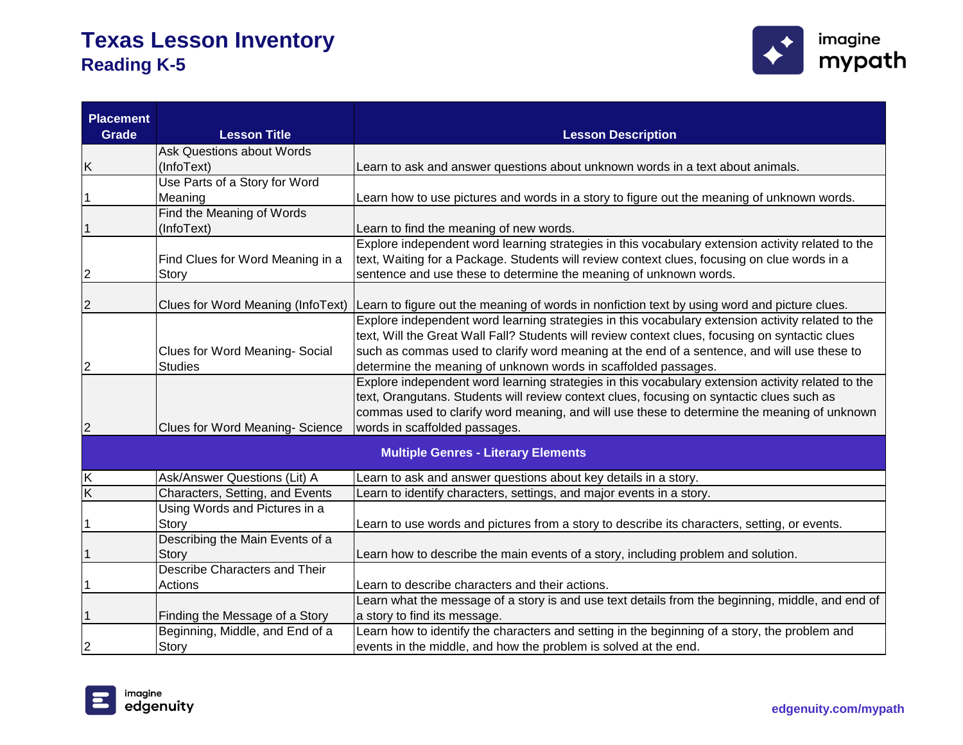

| <b>Placement</b><br>Grade | <b>Lesson Title</b>                       | <b>Lesson Description</b>                                                                                                                                                                                                                                                                                                      |
|---------------------------|-------------------------------------------|--------------------------------------------------------------------------------------------------------------------------------------------------------------------------------------------------------------------------------------------------------------------------------------------------------------------------------|
|                           | <b>Ask Questions about Words</b>          |                                                                                                                                                                                                                                                                                                                                |
| Κ                         | (InfoText)                                | Learn to ask and answer questions about unknown words in a text about animals.                                                                                                                                                                                                                                                 |
|                           | Use Parts of a Story for Word             |                                                                                                                                                                                                                                                                                                                                |
|                           | Meaning                                   | Learn how to use pictures and words in a story to figure out the meaning of unknown words.                                                                                                                                                                                                                                     |
|                           | Find the Meaning of Words                 |                                                                                                                                                                                                                                                                                                                                |
| 1                         | (InfoText)                                | Learn to find the meaning of new words.                                                                                                                                                                                                                                                                                        |
| 2                         | Find Clues for Word Meaning in a<br>Story | Explore independent word learning strategies in this vocabulary extension activity related to the<br>text, Waiting for a Package. Students will review context clues, focusing on clue words in a<br>sentence and use these to determine the meaning of unknown words.                                                         |
| $\overline{c}$            |                                           | Clues for Word Meaning (InfoText) Learn to figure out the meaning of words in nonfiction text by using word and picture clues.                                                                                                                                                                                                 |
|                           | Clues for Word Meaning-Social             | Explore independent word learning strategies in this vocabulary extension activity related to the<br>text, Will the Great Wall Fall? Students will review context clues, focusing on syntactic clues<br>such as commas used to clarify word meaning at the end of a sentence, and will use these to                            |
| 2                         | <b>Studies</b>                            | determine the meaning of unknown words in scaffolded passages.                                                                                                                                                                                                                                                                 |
| $\overline{c}$            | Clues for Word Meaning-Science            | Explore independent word learning strategies in this vocabulary extension activity related to the<br>text, Orangutans. Students will review context clues, focusing on syntactic clues such as<br>commas used to clarify word meaning, and will use these to determine the meaning of unknown<br>words in scaffolded passages. |
|                           |                                           | <b>Multiple Genres - Literary Elements</b>                                                                                                                                                                                                                                                                                     |
| Κ                         | Ask/Answer Questions (Lit) A              | Learn to ask and answer questions about key details in a story.                                                                                                                                                                                                                                                                |
| $\overline{\mathsf{K}}$   | Characters, Setting, and Events           | Learn to identify characters, settings, and major events in a story.                                                                                                                                                                                                                                                           |
|                           | Using Words and Pictures in a             |                                                                                                                                                                                                                                                                                                                                |
| 1                         | Story                                     | Learn to use words and pictures from a story to describe its characters, setting, or events.                                                                                                                                                                                                                                   |
|                           | Describing the Main Events of a           |                                                                                                                                                                                                                                                                                                                                |
| 1                         | Story                                     | Learn how to describe the main events of a story, including problem and solution.                                                                                                                                                                                                                                              |
|                           | Describe Characters and Their             |                                                                                                                                                                                                                                                                                                                                |
|                           | Actions                                   | Learn to describe characters and their actions.                                                                                                                                                                                                                                                                                |
|                           |                                           | Learn what the message of a story is and use text details from the beginning, middle, and end of                                                                                                                                                                                                                               |
| 1                         | Finding the Message of a Story            | a story to find its message.                                                                                                                                                                                                                                                                                                   |
|                           | Beginning, Middle, and End of a           | Learn how to identify the characters and setting in the beginning of a story, the problem and                                                                                                                                                                                                                                  |
| $\overline{2}$            | Story                                     | events in the middle, and how the problem is solved at the end.                                                                                                                                                                                                                                                                |

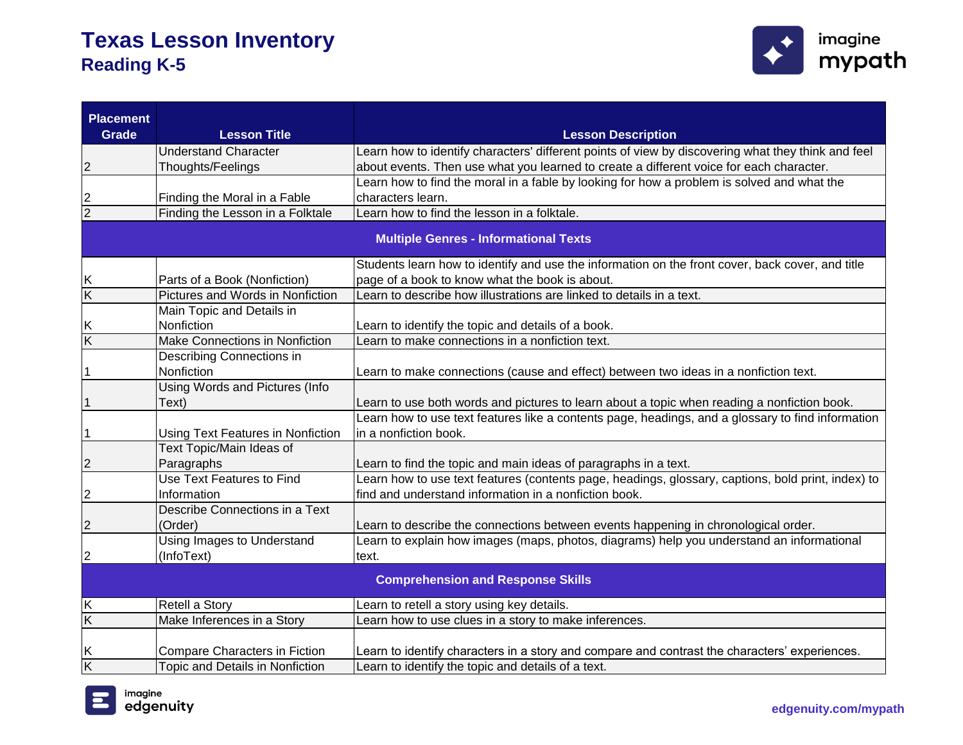

| <b>Placement</b>                         |                                       |                                                                                                    |
|------------------------------------------|---------------------------------------|----------------------------------------------------------------------------------------------------|
| <b>Grade</b>                             | <b>Lesson Title</b>                   | <b>Lesson Description</b>                                                                          |
|                                          | <b>Understand Character</b>           | Learn how to identify characters' different points of view by discovering what they think and feel |
| 2                                        | Thoughts/Feelings                     | about events. Then use what you learned to create a different voice for each character.            |
|                                          |                                       | Learn how to find the moral in a fable by looking for how a problem is solved and what the         |
| $\frac{2}{2}$                            | Finding the Moral in a Fable          | characters learn.                                                                                  |
|                                          | Finding the Lesson in a Folktale      | Learn how to find the lesson in a folktale.                                                        |
|                                          |                                       | <b>Multiple Genres - Informational Texts</b>                                                       |
|                                          |                                       | Students learn how to identify and use the information on the front cover, back cover, and title   |
| Κ                                        | Parts of a Book (Nonfiction)          | page of a book to know what the book is about.                                                     |
| $\overline{\mathsf{K}}$                  | Pictures and Words in Nonfiction      | Learn to describe how illustrations are linked to details in a text.                               |
|                                          | Main Topic and Details in             |                                                                                                    |
| Κ                                        | Nonfiction                            | Learn to identify the topic and details of a book.                                                 |
| $\overline{\mathsf{K}}$                  | <b>Make Connections in Nonfiction</b> | Learn to make connections in a nonfiction text.                                                    |
|                                          | Describing Connections in             |                                                                                                    |
| 1                                        | Nonfiction                            | Learn to make connections (cause and effect) between two ideas in a nonfiction text.               |
|                                          | Using Words and Pictures (Info        |                                                                                                    |
| 1                                        | Text)                                 | Learn to use both words and pictures to learn about a topic when reading a nonfiction book.        |
|                                          |                                       | Learn how to use text features like a contents page, headings, and a glossary to find information  |
|                                          | Using Text Features in Nonfiction     | in a nonfiction book.                                                                              |
|                                          | Text Topic/Main Ideas of              |                                                                                                    |
| 2                                        | Paragraphs                            | Learn to find the topic and main ideas of paragraphs in a text.                                    |
|                                          | <b>Use Text Features to Find</b>      | Learn how to use text features (contents page, headings, glossary, captions, bold print, index) to |
| 2                                        | Information                           | find and understand information in a nonfiction book.                                              |
|                                          | Describe Connections in a Text        |                                                                                                    |
| 2                                        | (Order)                               | Learn to describe the connections between events happening in chronological order.                 |
|                                          | <b>Using Images to Understand</b>     | Learn to explain how images (maps, photos, diagrams) help you understand an informational          |
| 2                                        | (InfoText)                            | text.                                                                                              |
| <b>Comprehension and Response Skills</b> |                                       |                                                                                                    |
| Κ                                        | Retell a Story                        | Learn to retell a story using key details.                                                         |
| Κ                                        | Make Inferences in a Story            | Learn how to use clues in a story to make inferences.                                              |
| Κ                                        | Compare Characters in Fiction         | Learn to identify characters in a story and compare and contrast the characters' experiences.      |
| $\overline{\mathsf{K}}$                  | Topic and Details in Nonfiction       | Learn to identify the topic and details of a text.                                                 |

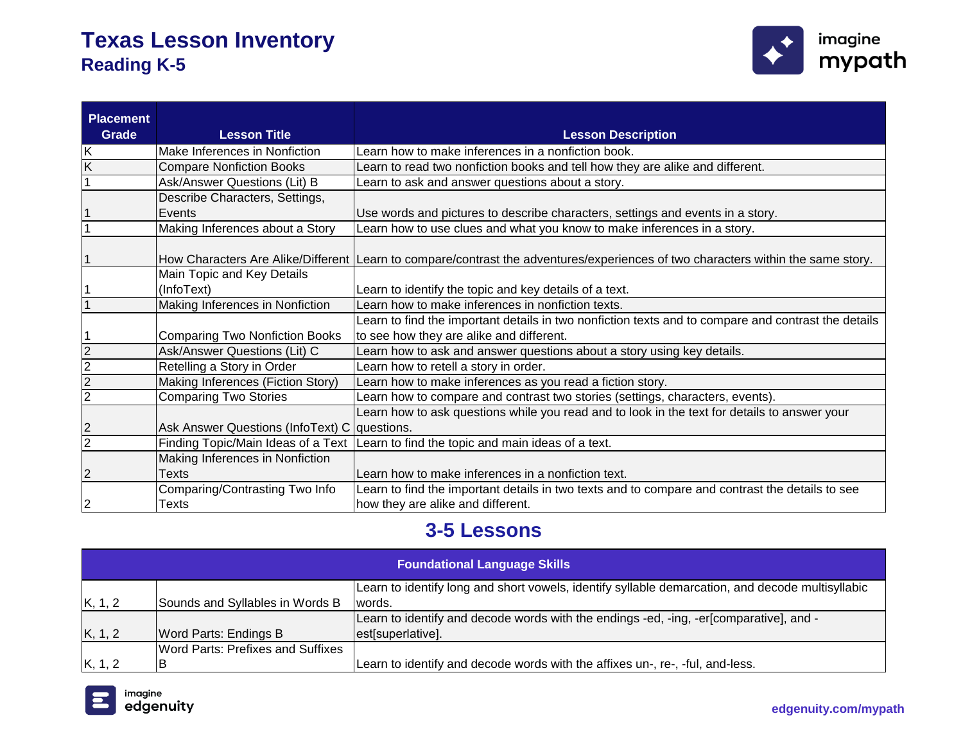

| <b>Placement</b>        |                                              |                                                                                                                                  |
|-------------------------|----------------------------------------------|----------------------------------------------------------------------------------------------------------------------------------|
| Grade                   | <b>Lesson Title</b>                          | <b>Lesson Description</b>                                                                                                        |
| Κ                       | Make Inferences in Nonfiction                | Learn how to make inferences in a nonfiction book.                                                                               |
| $\overline{\mathsf{K}}$ | <b>Compare Nonfiction Books</b>              | Learn to read two nonfiction books and tell how they are alike and different.                                                    |
|                         | Ask/Answer Questions (Lit) B                 | earn to ask and answer questions about a story.                                                                                  |
|                         | Describe Characters, Settings,               |                                                                                                                                  |
|                         | Events                                       | Use words and pictures to describe characters, settings and events in a story.                                                   |
|                         | Making Inferences about a Story              | Learn how to use clues and what you know to make inferences in a story.                                                          |
|                         |                                              |                                                                                                                                  |
|                         |                                              | How Characters Are Alike/Different Learn to compare/contrast the adventures/experiences of two characters within the same story. |
|                         | Main Topic and Key Details                   |                                                                                                                                  |
|                         | (InfoText)                                   | Learn to identify the topic and key details of a text.                                                                           |
|                         | Making Inferences in Nonfiction              | Learn how to make inferences in nonfiction texts.                                                                                |
|                         |                                              | Learn to find the important details in two nonfiction texts and to compare and contrast the details                              |
|                         | <b>Comparing Two Nonfiction Books</b>        | to see how they are alike and different.                                                                                         |
| 2                       | Ask/Answer Questions (Lit) C                 | Learn how to ask and answer questions about a story using key details.                                                           |
| 2                       | Retelling a Story in Order                   | Learn how to retell a story in order.                                                                                            |
| 2                       | Making Inferences (Fiction Story)            | Learn how to make inferences as you read a fiction story.                                                                        |
| 2                       | <b>Comparing Two Stories</b>                 | Learn how to compare and contrast two stories (settings, characters, events).                                                    |
|                         |                                              | Learn how to ask questions while you read and to look in the text for details to answer your                                     |
| $\overline{2}$          | Ask Answer Questions (InfoText) C questions. |                                                                                                                                  |
| $\overline{2}$          |                                              | Finding Topic/Main Ideas of a Text Learn to find the topic and main ideas of a text.                                             |
|                         | Making Inferences in Nonfiction              |                                                                                                                                  |
| $\overline{c}$          | Texts                                        | Learn how to make inferences in a nonfiction text.                                                                               |
|                         | Comparing/Contrasting Two Info               | Learn to find the important details in two texts and to compare and contrast the details to see                                  |
| 2                       | <b>Texts</b>                                 | how they are alike and different.                                                                                                |

### **3-5 Lessons**

| <b>Foundational Language Skills</b>                                                              |                                          |                                                                                        |
|--------------------------------------------------------------------------------------------------|------------------------------------------|----------------------------------------------------------------------------------------|
| Learn to identify long and short vowels, identify syllable demarcation, and decode multisyllabic |                                          |                                                                                        |
| K, 1, 2                                                                                          | Sounds and Syllables in Words B          | Iwords.                                                                                |
|                                                                                                  |                                          | Learn to identify and decode words with the endings -ed, -ing, -er[comparative], and - |
| K, 1, 2                                                                                          | <b>Word Parts: Endings B</b>             | est[superlative].                                                                      |
|                                                                                                  | <b>Word Parts: Prefixes and Suffixes</b> |                                                                                        |
| K, 1, 2                                                                                          |                                          | Learn to identify and decode words with the affixes un-, re-, -ful, and-less.          |

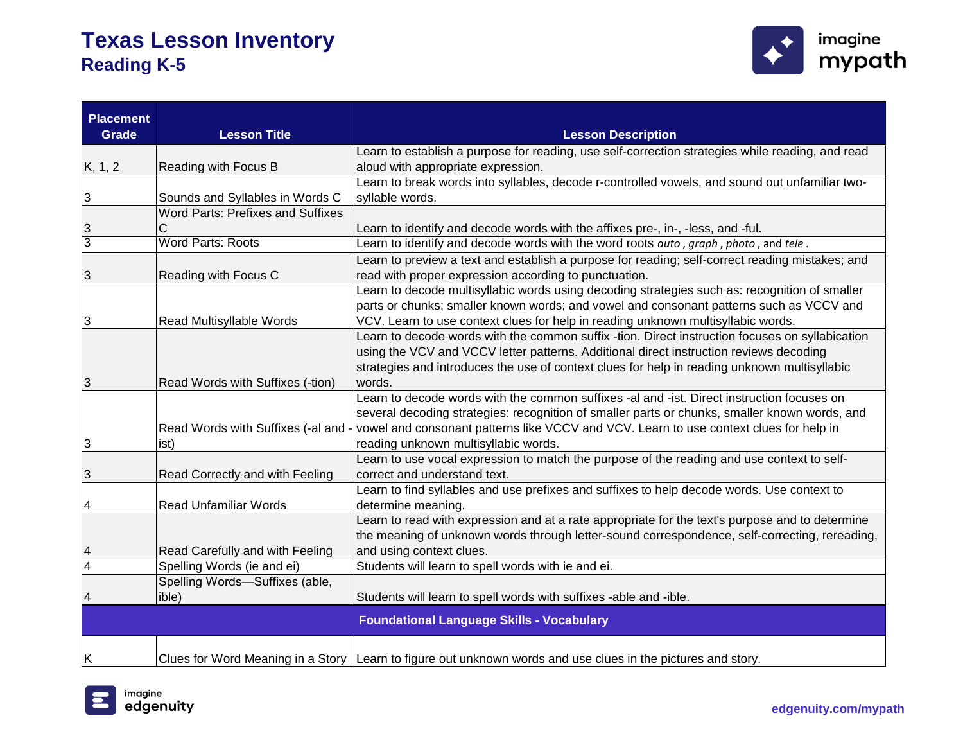

| <b>Placement</b> |                                          |                                                                                                              |
|------------------|------------------------------------------|--------------------------------------------------------------------------------------------------------------|
| <b>Grade</b>     | <b>Lesson Title</b>                      | <b>Lesson Description</b>                                                                                    |
|                  |                                          | Learn to establish a purpose for reading, use self-correction strategies while reading, and read             |
| K, 1, 2          | Reading with Focus B                     | aloud with appropriate expression.                                                                           |
|                  |                                          | Learn to break words into syllables, decode r-controlled vowels, and sound out unfamiliar two-               |
| 3                | Sounds and Syllables in Words C          | syllable words.                                                                                              |
|                  | <b>Word Parts: Prefixes and Suffixes</b> |                                                                                                              |
| 3                | С                                        | Learn to identify and decode words with the affixes pre-, in-, -less, and -ful.                              |
| 3                | <b>Word Parts: Roots</b>                 | Learn to identify and decode words with the word roots auto, graph, photo, and tele.                         |
|                  |                                          | Learn to preview a text and establish a purpose for reading; self-correct reading mistakes; and              |
| 3                | Reading with Focus C                     | read with proper expression according to punctuation.                                                        |
|                  |                                          | Learn to decode multisyllabic words using decoding strategies such as: recognition of smaller                |
|                  |                                          | parts or chunks; smaller known words; and vowel and consonant patterns such as VCCV and                      |
| 3                | Read Multisyllable Words                 | VCV. Learn to use context clues for help in reading unknown multisyllabic words.                             |
|                  |                                          | Learn to decode words with the common suffix -tion. Direct instruction focuses on syllabication              |
|                  |                                          | using the VCV and VCCV letter patterns. Additional direct instruction reviews decoding                       |
|                  |                                          | strategies and introduces the use of context clues for help in reading unknown multisyllabic                 |
| 3                | Read Words with Suffixes (-tion)         | words.                                                                                                       |
|                  |                                          | Learn to decode words with the common suffixes -al and -ist. Direct instruction focuses on                   |
|                  |                                          | several decoding strategies: recognition of smaller parts or chunks, smaller known words, and                |
|                  | Read Words with Suffixes (-al and -      | vowel and consonant patterns like VCCV and VCV. Learn to use context clues for help in                       |
| 3                | ist)                                     | reading unknown multisyllabic words.                                                                         |
|                  |                                          | Learn to use vocal expression to match the purpose of the reading and use context to self-                   |
| 3                | Read Correctly and with Feeling          | correct and understand text.                                                                                 |
|                  |                                          | Learn to find syllables and use prefixes and suffixes to help decode words. Use context to                   |
| 4                | <b>Read Unfamiliar Words</b>             | determine meaning.                                                                                           |
|                  |                                          | Learn to read with expression and at a rate appropriate for the text's purpose and to determine              |
|                  |                                          | the meaning of unknown words through letter-sound correspondence, self-correcting, rereading,                |
| 4                | Read Carefully and with Feeling          | and using context clues.                                                                                     |
| $\overline{4}$   | Spelling Words (ie and ei)               | Students will learn to spell words with ie and ei.                                                           |
|                  | Spelling Words-Suffixes (able,           |                                                                                                              |
|                  | ible)                                    | Students will learn to spell words with suffixes -able and -ible.                                            |
|                  |                                          | <b>Foundational Language Skills - Vocabulary</b>                                                             |
|                  |                                          |                                                                                                              |
| ΙK               |                                          | Clues for Word Meaning in a Story Learn to figure out unknown words and use clues in the pictures and story. |

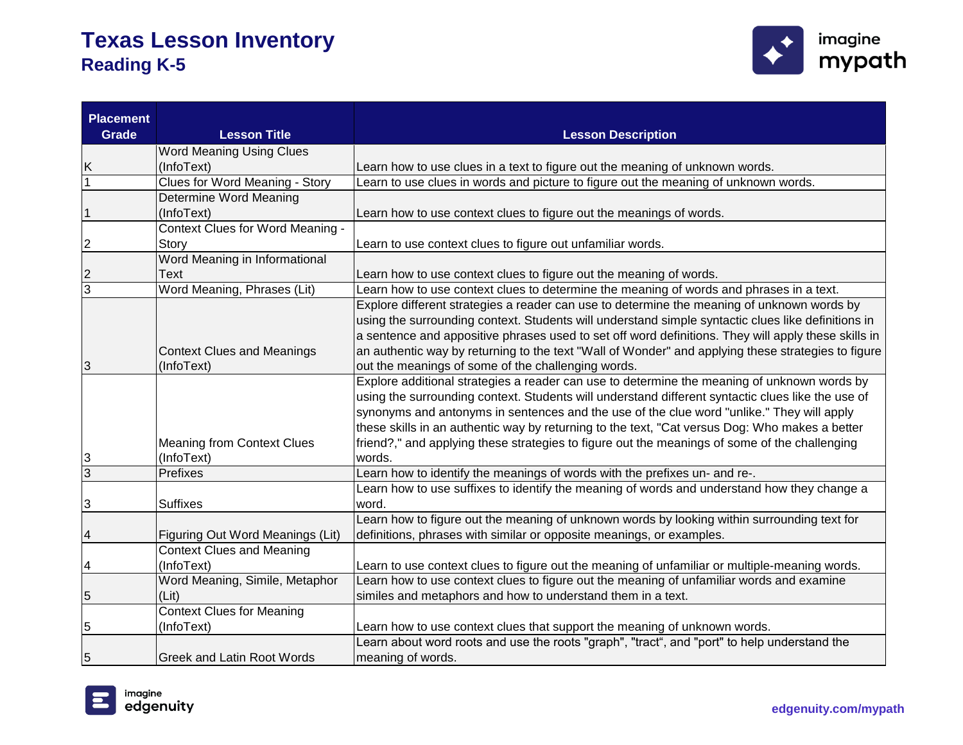

| <b>Placement</b><br>Grade | <b>Lesson Title</b>                   | <b>Lesson Description</b>                                                                           |
|---------------------------|---------------------------------------|-----------------------------------------------------------------------------------------------------|
|                           | Word Meaning Using Clues              |                                                                                                     |
| Κ                         | (InfoText)                            | Learn how to use clues in a text to figure out the meaning of unknown words.                        |
|                           | <b>Clues for Word Meaning - Story</b> | Learn to use clues in words and picture to figure out the meaning of unknown words.                 |
|                           | <b>Determine Word Meaning</b>         |                                                                                                     |
| 1                         | (InfoText)                            | Learn how to use context clues to figure out the meanings of words.                                 |
|                           | Context Clues for Word Meaning -      |                                                                                                     |
| 2                         | Story                                 | Learn to use context clues to figure out unfamiliar words.                                          |
|                           | Word Meaning in Informational         |                                                                                                     |
| 2                         | <b>Text</b>                           | Learn how to use context clues to figure out the meaning of words.                                  |
| 3                         | Word Meaning, Phrases (Lit)           | Learn how to use context clues to determine the meaning of words and phrases in a text.             |
|                           |                                       | Explore different strategies a reader can use to determine the meaning of unknown words by          |
|                           |                                       | using the surrounding context. Students will understand simple syntactic clues like definitions in  |
|                           |                                       | a sentence and appositive phrases used to set off word definitions. They will apply these skills in |
|                           | <b>Context Clues and Meanings</b>     | an authentic way by returning to the text "Wall of Wonder" and applying these strategies to figure  |
| 3                         | (InfoText)                            | out the meanings of some of the challenging words.                                                  |
|                           |                                       | Explore additional strategies a reader can use to determine the meaning of unknown words by         |
|                           |                                       | using the surrounding context. Students will understand different syntactic clues like the use of   |
|                           |                                       | synonyms and antonyms in sentences and the use of the clue word "unlike." They will apply           |
|                           |                                       | these skills in an authentic way by returning to the text, "Cat versus Dog: Who makes a better      |
|                           | <b>Meaning from Context Clues</b>     | friend?," and applying these strategies to figure out the meanings of some of the challenging       |
| 3                         | (InfoText)                            | words.                                                                                              |
| $\overline{3}$            | Prefixes                              | Learn how to identify the meanings of words with the prefixes un- and re-.                          |
|                           |                                       | Learn how to use suffixes to identify the meaning of words and understand how they change a         |
| 3                         | <b>Suffixes</b>                       | word.                                                                                               |
|                           |                                       | Learn how to figure out the meaning of unknown words by looking within surrounding text for         |
| 4                         | Figuring Out Word Meanings (Lit)      | definitions, phrases with similar or opposite meanings, or examples.                                |
|                           | <b>Context Clues and Meaning</b>      |                                                                                                     |
| 4                         | (InfoText)                            | Learn to use context clues to figure out the meaning of unfamiliar or multiple-meaning words.       |
|                           | Word Meaning, Simile, Metaphor        | Learn how to use context clues to figure out the meaning of unfamiliar words and examine            |
| 5                         | (Lit)                                 | similes and metaphors and how to understand them in a text.                                         |
|                           | <b>Context Clues for Meaning</b>      |                                                                                                     |
| 5                         | (InfoText)                            | Learn how to use context clues that support the meaning of unknown words.                           |
|                           |                                       | Learn about word roots and use the roots "graph", "tract", and "port" to help understand the        |
| 5                         | <b>Greek and Latin Root Words</b>     | meaning of words.                                                                                   |

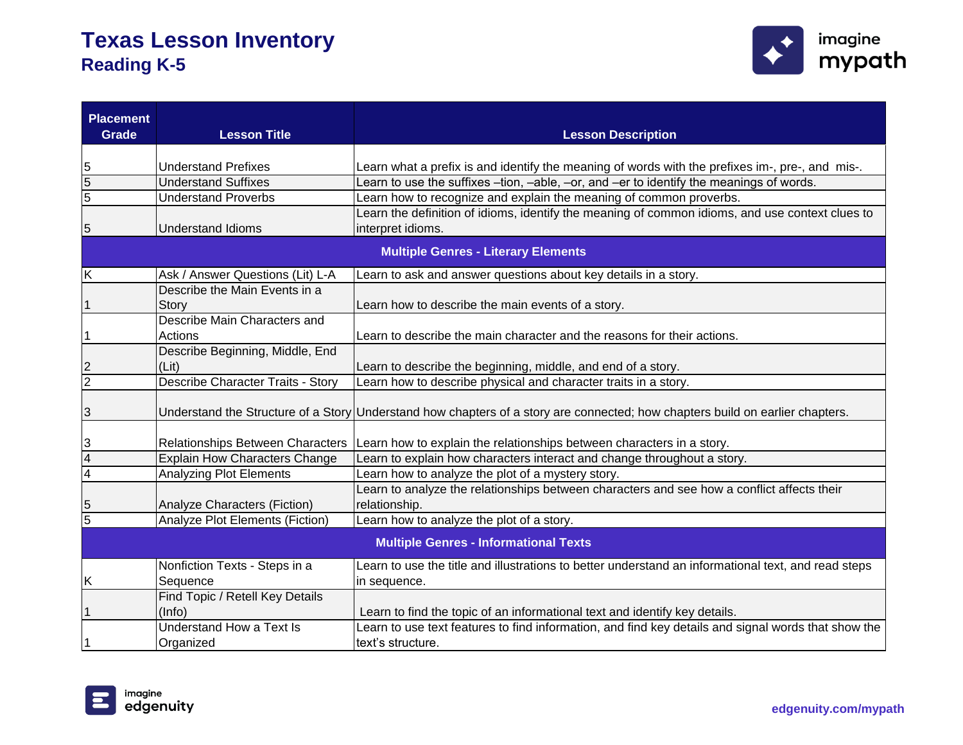

| <b>Placement</b><br>Grade                    | <b>Lesson Title</b>                  | <b>Lesson Description</b>                                                                                                     |
|----------------------------------------------|--------------------------------------|-------------------------------------------------------------------------------------------------------------------------------|
|                                              |                                      |                                                                                                                               |
| 5                                            | <b>Understand Prefixes</b>           | Learn what a prefix is and identify the meaning of words with the prefixes im-, pre-, and mis-.                               |
| $\overline{5}$                               | <b>Understand Suffixes</b>           | Learn to use the suffixes -tion, -able, -or, and -er to identify the meanings of words.                                       |
| $\overline{5}$                               | <b>Understand Proverbs</b>           | Learn how to recognize and explain the meaning of common proverbs.                                                            |
|                                              |                                      | Learn the definition of idioms, identify the meaning of common idioms, and use context clues to                               |
| 5                                            | <b>Understand Idioms</b>             | interpret idioms.                                                                                                             |
|                                              |                                      | <b>Multiple Genres - Literary Elements</b>                                                                                    |
| K                                            | Ask / Answer Questions (Lit) L-A     | Learn to ask and answer questions about key details in a story.                                                               |
|                                              | Describe the Main Events in a        |                                                                                                                               |
| 1                                            | Story                                | Learn how to describe the main events of a story.                                                                             |
|                                              | Describe Main Characters and         |                                                                                                                               |
| 1                                            | Actions                              | Learn to describe the main character and the reasons for their actions.                                                       |
|                                              | Describe Beginning, Middle, End      |                                                                                                                               |
| $\frac{2}{2}$                                | (Lit)                                | Learn to describe the beginning, middle, and end of a story.                                                                  |
|                                              | Describe Character Traits - Story    | Learn how to describe physical and character traits in a story.                                                               |
| 3                                            |                                      | Understand the Structure of a Story Understand how chapters of a story are connected; how chapters build on earlier chapters. |
| 3                                            | Relationships Between Characters     | Learn how to explain the relationships between characters in a story.                                                         |
| 4                                            | <b>Explain How Characters Change</b> | Learn to explain how characters interact and change throughout a story.                                                       |
| $\overline{4}$                               | <b>Analyzing Plot Elements</b>       | Learn how to analyze the plot of a mystery story.                                                                             |
| 5                                            | Analyze Characters (Fiction)         | Learn to analyze the relationships between characters and see how a conflict affects their<br>relationship.                   |
| 5                                            | Analyze Plot Elements (Fiction)      | Learn how to analyze the plot of a story.                                                                                     |
| <b>Multiple Genres - Informational Texts</b> |                                      |                                                                                                                               |
|                                              | Nonfiction Texts - Steps in a        | Learn to use the title and illustrations to better understand an informational text, and read steps                           |
| K                                            | Sequence                             | in sequence.                                                                                                                  |
|                                              | Find Topic / Retell Key Details      |                                                                                                                               |
|                                              | (Info)                               | Learn to find the topic of an informational text and identify key details.                                                    |
|                                              | Understand How a Text Is             | Learn to use text features to find information, and find key details and signal words that show the                           |
|                                              | Organized                            | text's structure.                                                                                                             |

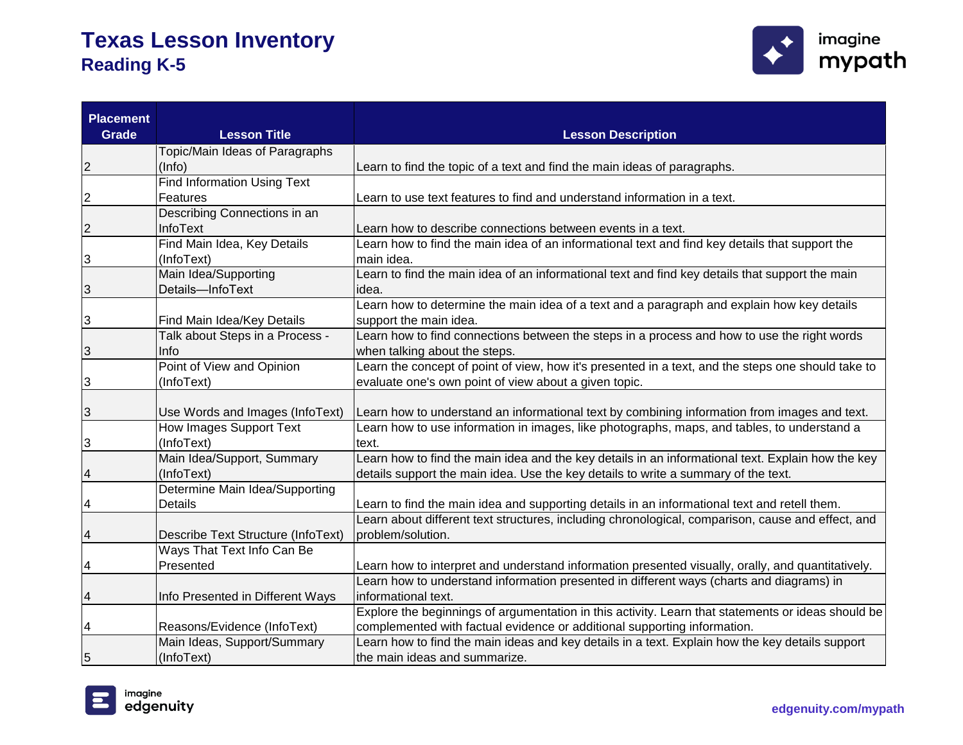

| <b>Placement</b><br><b>Grade</b> | <b>Lesson Title</b>                | <b>Lesson Description</b>                                                                          |
|----------------------------------|------------------------------------|----------------------------------------------------------------------------------------------------|
|                                  | Topic/Main Ideas of Paragraphs     |                                                                                                    |
| $\overline{c}$                   | (Info)                             | Learn to find the topic of a text and find the main ideas of paragraphs.                           |
|                                  | <b>Find Information Using Text</b> |                                                                                                    |
| $\overline{c}$                   | Features                           | Learn to use text features to find and understand information in a text.                           |
|                                  | Describing Connections in an       |                                                                                                    |
| $\overline{c}$                   | InfoText                           | Learn how to describe connections between events in a text.                                        |
|                                  | Find Main Idea, Key Details        | Learn how to find the main idea of an informational text and find key details that support the     |
| $\mathbf{3}$                     | (InfoText)                         | main idea.                                                                                         |
|                                  | Main Idea/Supporting               | Learn to find the main idea of an informational text and find key details that support the main    |
| $\overline{3}$                   | Details-InfoText                   | idea.                                                                                              |
|                                  |                                    | Learn how to determine the main idea of a text and a paragraph and explain how key details         |
| 3                                | Find Main Idea/Key Details         | support the main idea.                                                                             |
|                                  | Talk about Steps in a Process -    | Learn how to find connections between the steps in a process and how to use the right words        |
| $\mathbf{3}$                     | Info                               | when talking about the steps.                                                                      |
|                                  | Point of View and Opinion          | Learn the concept of point of view, how it's presented in a text, and the steps one should take to |
| $\mathbf{3}$                     | (InfoText)                         | evaluate one's own point of view about a given topic.                                              |
|                                  |                                    |                                                                                                    |
| $\mathbf{3}$                     | Use Words and Images (InfoText)    | Learn how to understand an informational text by combining information from images and text.       |
|                                  | <b>How Images Support Text</b>     | Learn how to use information in images, like photographs, maps, and tables, to understand a        |
| $\mathbf{3}$                     | (InfoText)                         | text.                                                                                              |
|                                  | Main Idea/Support, Summary         | Learn how to find the main idea and the key details in an informational text. Explain how the key  |
|                                  | (InfoText)                         | details support the main idea. Use the key details to write a summary of the text.                 |
|                                  | Determine Main Idea/Supporting     |                                                                                                    |
| 4                                | <b>Details</b>                     | Learn to find the main idea and supporting details in an informational text and retell them.       |
|                                  |                                    | Learn about different text structures, including chronological, comparison, cause and effect, and  |
|                                  | Describe Text Structure (InfoText) | problem/solution.                                                                                  |
|                                  | Ways That Text Info Can Be         |                                                                                                    |
| $\overline{\mathbf{4}}$          | Presented                          | Learn how to interpret and understand information presented visually, orally, and quantitatively.  |
|                                  |                                    | Learn how to understand information presented in different ways (charts and diagrams) in           |
| 4                                | Info Presented in Different Ways   | informational text.                                                                                |
|                                  |                                    | Explore the beginnings of argumentation in this activity. Learn that statements or ideas should be |
| $\overline{\mathcal{A}}$         | Reasons/Evidence (InfoText)        | complemented with factual evidence or additional supporting information.                           |
|                                  | Main Ideas, Support/Summary        | Learn how to find the main ideas and key details in a text. Explain how the key details support    |
| $\overline{5}$                   | (InfoText)                         | the main ideas and summarize.                                                                      |

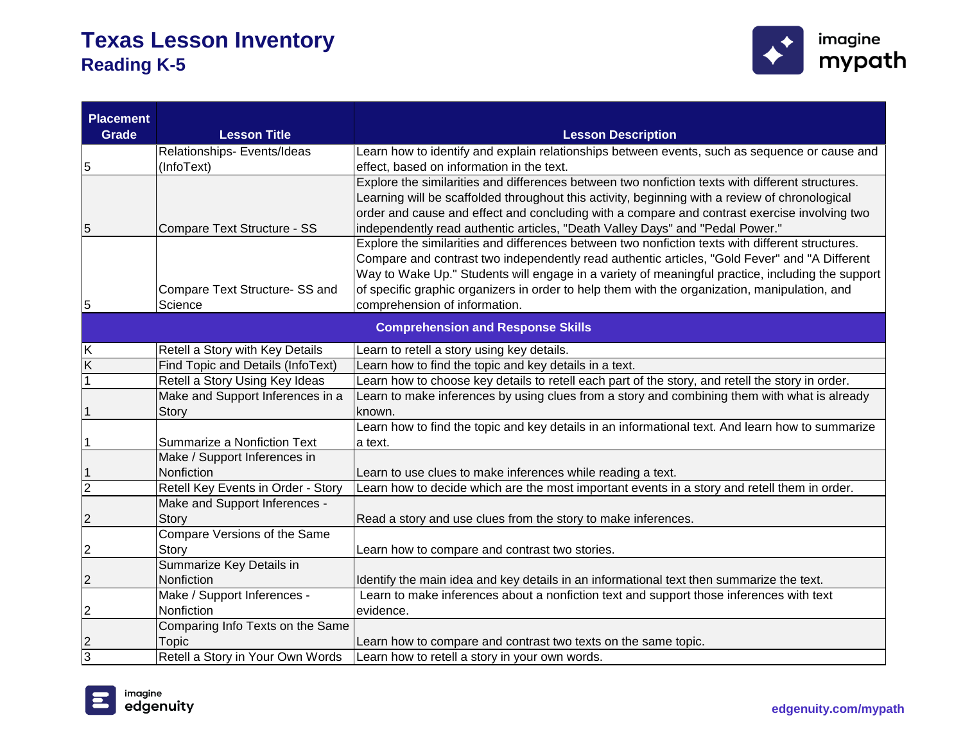

| <b>Placement</b><br><b>Grade</b> | <b>Lesson Title</b>                | <b>Lesson Description</b>                                                                                                                     |
|----------------------------------|------------------------------------|-----------------------------------------------------------------------------------------------------------------------------------------------|
|                                  |                                    |                                                                                                                                               |
|                                  | Relationships- Events/Ideas        | Learn how to identify and explain relationships between events, such as sequence or cause and                                                 |
| 5                                | (InfoText)                         | effect, based on information in the text.<br>Explore the similarities and differences between two nonfiction texts with different structures. |
|                                  |                                    | Learning will be scaffolded throughout this activity, beginning with a review of chronological                                                |
|                                  |                                    | order and cause and effect and concluding with a compare and contrast exercise involving two                                                  |
| 5                                | Compare Text Structure - SS        | independently read authentic articles, "Death Valley Days" and "Pedal Power."                                                                 |
|                                  |                                    | Explore the similarities and differences between two nonfiction texts with different structures.                                              |
|                                  |                                    | Compare and contrast two independently read authentic articles, "Gold Fever" and "A Different                                                 |
|                                  |                                    | Way to Wake Up." Students will engage in a variety of meaningful practice, including the support                                              |
|                                  | Compare Text Structure- SS and     | of specific graphic organizers in order to help them with the organization, manipulation, and                                                 |
| 5                                | Science                            | comprehension of information.                                                                                                                 |
|                                  |                                    |                                                                                                                                               |
|                                  |                                    | <b>Comprehension and Response Skills</b>                                                                                                      |
| Κ                                | Retell a Story with Key Details    | Learn to retell a story using key details.                                                                                                    |
| Κ                                | Find Topic and Details (InfoText)  | Learn how to find the topic and key details in a text.                                                                                        |
| 1                                | Retell a Story Using Key Ideas     | Learn how to choose key details to retell each part of the story, and retell the story in order.                                              |
|                                  | Make and Support Inferences in a   | Learn to make inferences by using clues from a story and combining them with what is already                                                  |
|                                  | <b>Story</b>                       | known.                                                                                                                                        |
|                                  |                                    | Learn how to find the topic and key details in an informational text. And learn how to summarize                                              |
| 1                                | <b>Summarize a Nonfiction Text</b> | a text.                                                                                                                                       |
|                                  | Make / Support Inferences in       |                                                                                                                                               |
|                                  | Nonfiction                         | Learn to use clues to make inferences while reading a text.                                                                                   |
| $\overline{2}$                   | Retell Key Events in Order - Story | Learn how to decide which are the most important events in a story and retell them in order.                                                  |
|                                  | Make and Support Inferences -      |                                                                                                                                               |
| $\overline{2}$                   | Story                              | Read a story and use clues from the story to make inferences.                                                                                 |
|                                  | Compare Versions of the Same       |                                                                                                                                               |
| 2                                | Story                              | Learn how to compare and contrast two stories.                                                                                                |
|                                  | Summarize Key Details in           |                                                                                                                                               |
| 2                                | Nonfiction                         | Identify the main idea and key details in an informational text then summarize the text.                                                      |
|                                  | Make / Support Inferences -        | Learn to make inferences about a nonfiction text and support those inferences with text                                                       |
| 2                                | Nonfiction                         | evidence.                                                                                                                                     |
|                                  | Comparing Info Texts on the Same   |                                                                                                                                               |
| 2                                | Topic                              | Learn how to compare and contrast two texts on the same topic.                                                                                |
| 3                                | Retell a Story in Your Own Words   | Learn how to retell a story in your own words.                                                                                                |

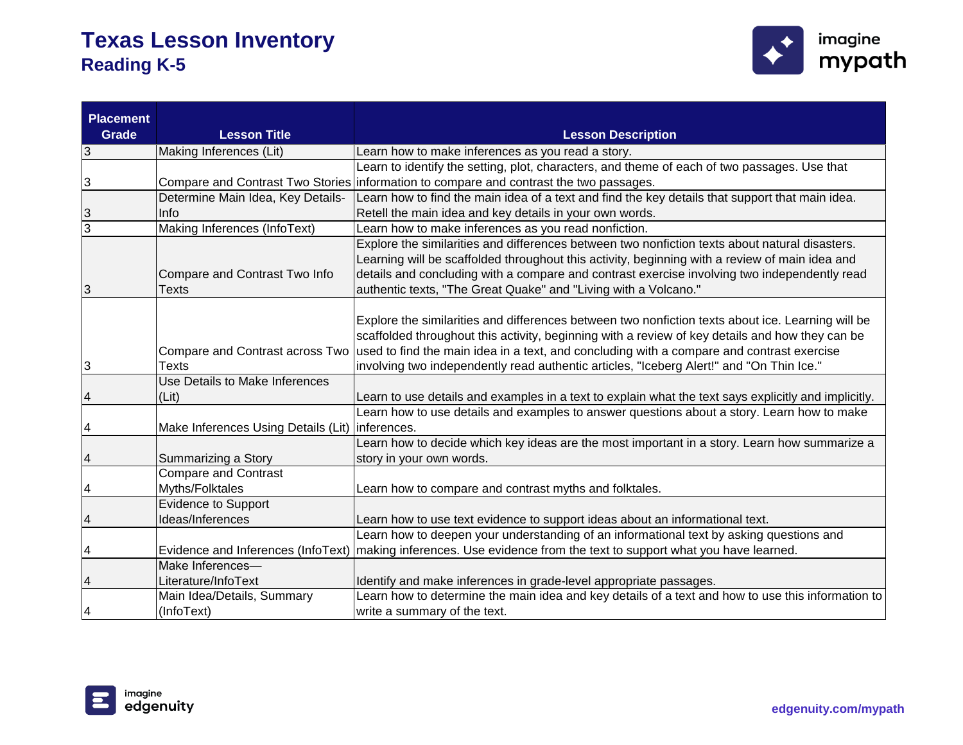

| <b>Placement</b><br><b>Grade</b> | <b>Lesson Title</b>                             | <b>Lesson Description</b>                                                                                                                                                                                                                                                                                                                                                                                                     |
|----------------------------------|-------------------------------------------------|-------------------------------------------------------------------------------------------------------------------------------------------------------------------------------------------------------------------------------------------------------------------------------------------------------------------------------------------------------------------------------------------------------------------------------|
| $\overline{3}$                   | Making Inferences (Lit)                         | Learn how to make inferences as you read a story.                                                                                                                                                                                                                                                                                                                                                                             |
|                                  |                                                 | Learn to identify the setting, plot, characters, and theme of each of two passages. Use that                                                                                                                                                                                                                                                                                                                                  |
| 3                                |                                                 | Compare and Contrast Two Stories information to compare and contrast the two passages.                                                                                                                                                                                                                                                                                                                                        |
|                                  | Determine Main Idea, Key Details-               | Learn how to find the main idea of a text and find the key details that support that main idea.                                                                                                                                                                                                                                                                                                                               |
| $\mathcal{S}$                    | Info                                            | Retell the main idea and key details in your own words.                                                                                                                                                                                                                                                                                                                                                                       |
| $\overline{3}$                   | Making Inferences (InfoText)                    | Learn how to make inferences as you read nonfiction.                                                                                                                                                                                                                                                                                                                                                                          |
| 3                                | Compare and Contrast Two Info<br><b>Texts</b>   | Explore the similarities and differences between two nonfiction texts about natural disasters.<br>Learning will be scaffolded throughout this activity, beginning with a review of main idea and<br>details and concluding with a compare and contrast exercise involving two independently read<br>authentic texts, "The Great Quake" and "Living with a Volcano."                                                           |
| 3                                | Texts                                           | Explore the similarities and differences between two nonfiction texts about ice. Learning will be<br>scaffolded throughout this activity, beginning with a review of key details and how they can be<br>Compare and Contrast across Two used to find the main idea in a text, and concluding with a compare and contrast exercise<br>involving two independently read authentic articles, "Iceberg Alert!" and "On Thin Ice." |
|                                  | Use Details to Make Inferences                  |                                                                                                                                                                                                                                                                                                                                                                                                                               |
| $\overline{\mathcal{A}}$         | (Lit)                                           | Learn to use details and examples in a text to explain what the text says explicitly and implicitly.                                                                                                                                                                                                                                                                                                                          |
| $\overline{\mathcal{A}}$         | Make Inferences Using Details (Lit) Inferences. | Learn how to use details and examples to answer questions about a story. Learn how to make                                                                                                                                                                                                                                                                                                                                    |
|                                  |                                                 | Learn how to decide which key ideas are the most important in a story. Learn how summarize a                                                                                                                                                                                                                                                                                                                                  |
| $\overline{\mathcal{A}}$         | Summarizing a Story                             | story in your own words.                                                                                                                                                                                                                                                                                                                                                                                                      |
| 4                                | <b>Compare and Contrast</b><br>Myths/Folktales  | Learn how to compare and contrast myths and folktales.                                                                                                                                                                                                                                                                                                                                                                        |
| 4                                | Evidence to Support<br>Ideas/Inferences         | Learn how to use text evidence to support ideas about an informational text.                                                                                                                                                                                                                                                                                                                                                  |
|                                  |                                                 | Learn how to deepen your understanding of an informational text by asking questions and                                                                                                                                                                                                                                                                                                                                       |
| 4                                |                                                 | Evidence and Inferences (InfoText) making inferences. Use evidence from the text to support what you have learned.                                                                                                                                                                                                                                                                                                            |
|                                  | Make Inferences-                                |                                                                                                                                                                                                                                                                                                                                                                                                                               |
| $\overline{\mathcal{A}}$         | Literature/InfoText                             | Identify and make inferences in grade-level appropriate passages.                                                                                                                                                                                                                                                                                                                                                             |
|                                  | Main Idea/Details, Summary                      | Learn how to determine the main idea and key details of a text and how to use this information to                                                                                                                                                                                                                                                                                                                             |
| $\overline{\mathcal{A}}$         | (InfoText)                                      | write a summary of the text.                                                                                                                                                                                                                                                                                                                                                                                                  |

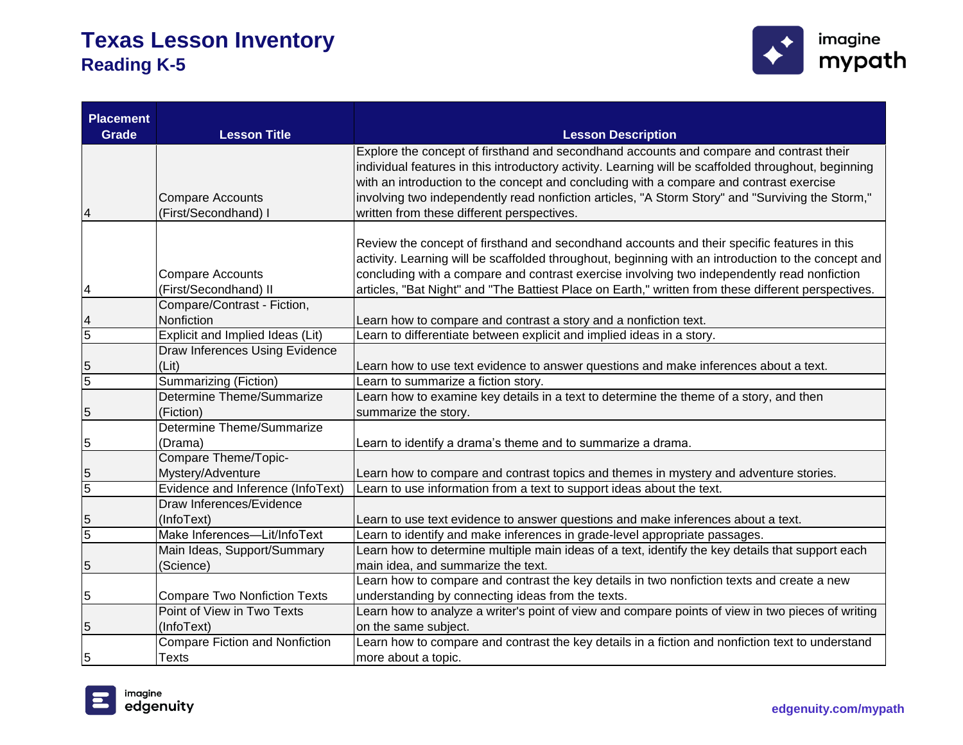

| <b>Placement</b><br><b>Grade</b> | <b>Lesson Title</b>                   | <b>Lesson Description</b>                                                                                                                       |
|----------------------------------|---------------------------------------|-------------------------------------------------------------------------------------------------------------------------------------------------|
|                                  |                                       | Explore the concept of firsthand and secondhand accounts and compare and contrast their                                                         |
|                                  |                                       | individual features in this introductory activity. Learning will be scaffolded throughout, beginning                                            |
|                                  |                                       | with an introduction to the concept and concluding with a compare and contrast exercise                                                         |
|                                  | <b>Compare Accounts</b>               | involving two independently read nonfiction articles, "A Storm Story" and "Surviving the Storm,"                                                |
| 4                                | (First/Secondhand) I                  | written from these different perspectives.                                                                                                      |
|                                  |                                       | Review the concept of firsthand and secondhand accounts and their specific features in this                                                     |
|                                  |                                       | activity. Learning will be scaffolded throughout, beginning with an introduction to the concept and                                             |
|                                  | <b>Compare Accounts</b>               | concluding with a compare and contrast exercise involving two independently read nonfiction                                                     |
| 4                                | (First/Secondhand) II                 | articles, "Bat Night" and "The Battiest Place on Earth," written from these different perspectives.                                             |
|                                  | Compare/Contrast - Fiction,           |                                                                                                                                                 |
| 4                                | Nonfiction                            | Learn how to compare and contrast a story and a nonfiction text.                                                                                |
| $\overline{5}$                   | Explicit and Implied Ideas (Lit)      | Learn to differentiate between explicit and implied ideas in a story.                                                                           |
|                                  | Draw Inferences Using Evidence        |                                                                                                                                                 |
| 5                                | (Lit)                                 | Learn how to use text evidence to answer questions and make inferences about a text.                                                            |
| $\overline{5}$                   | <b>Summarizing (Fiction)</b>          | Learn to summarize a fiction story.                                                                                                             |
|                                  | Determine Theme/Summarize             | Learn how to examine key details in a text to determine the theme of a story, and then                                                          |
| 5                                | (Fiction)                             | summarize the story.                                                                                                                            |
|                                  | <b>Determine Theme/Summarize</b>      |                                                                                                                                                 |
| 5                                | (Drama)                               | Learn to identify a drama's theme and to summarize a drama.                                                                                     |
|                                  | Compare Theme/Topic-                  |                                                                                                                                                 |
| 5                                | Mystery/Adventure                     | Learn how to compare and contrast topics and themes in mystery and adventure stories.                                                           |
| $\overline{5}$                   | Evidence and Inference (InfoText)     | Learn to use information from a text to support ideas about the text.                                                                           |
|                                  | Draw Inferences/Evidence              |                                                                                                                                                 |
| 5                                | (InfoText)                            | Learn to use text evidence to answer questions and make inferences about a text.                                                                |
| $\overline{5}$                   | Make Inferences-Lit/InfoText          | Learn to identify and make inferences in grade-level appropriate passages.                                                                      |
|                                  | Main Ideas, Support/Summary           | Learn how to determine multiple main ideas of a text, identify the key details that support each                                                |
| 5                                | (Science)                             | main idea, and summarize the text.                                                                                                              |
|                                  | <b>Compare Two Nonfiction Texts</b>   | Learn how to compare and contrast the key details in two nonfiction texts and create a new<br>understanding by connecting ideas from the texts. |
| 5                                | Point of View in Two Texts            | Learn how to analyze a writer's point of view and compare points of view in two pieces of writing                                               |
| 5                                | (InfoText)                            | on the same subject.                                                                                                                            |
|                                  | <b>Compare Fiction and Nonfiction</b> | Learn how to compare and contrast the key details in a fiction and nonfiction text to understand                                                |
| 5                                | <b>Texts</b>                          | more about a topic.                                                                                                                             |